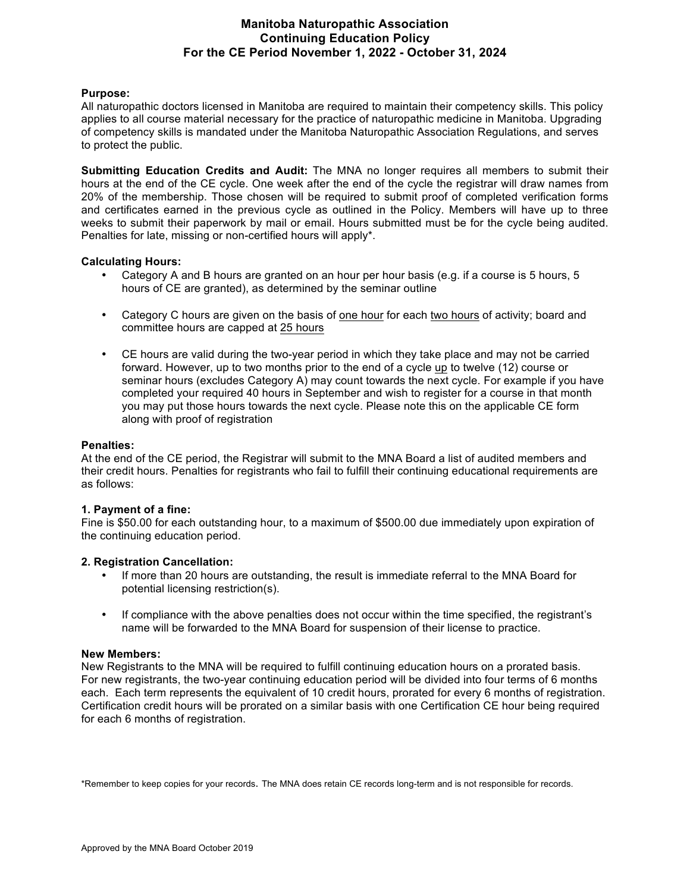# **Manitoba Naturopathic Association Continuing Education Policy For the CE Period November 1, 2022 - October 31, 2024**

#### **Purpose:**

All naturopathic doctors licensed in Manitoba are required to maintain their competency skills. This policy applies to all course material necessary for the practice of naturopathic medicine in Manitoba. Upgrading of competency skills is mandated under the Manitoba Naturopathic Association Regulations, and serves to protect the public.

**Submitting Education Credits and Audit:** The MNA no longer requires all members to submit their hours at the end of the CE cycle. One week after the end of the cycle the registrar will draw names from 20% of the membership. Those chosen will be required to submit proof of completed verification forms and certificates earned in the previous cycle as outlined in the Policy. Members will have up to three weeks to submit their paperwork by mail or email. Hours submitted must be for the cycle being audited. Penalties for late, missing or non-certified hours will apply\*.

#### **Calculating Hours:**

- Category A and B hours are granted on an hour per hour basis (e.g. if a course is 5 hours, 5 hours of CE are granted), as determined by the seminar outline
- Category C hours are given on the basis of one hour for each two hours of activity; board and committee hours are capped at 25 hours
- CE hours are valid during the two-year period in which they take place and may not be carried forward. However, up to two months prior to the end of a cycle up to twelve (12) course or seminar hours (excludes Category A) may count towards the next cycle. For example if you have completed your required 40 hours in September and wish to register for a course in that month you may put those hours towards the next cycle. Please note this on the applicable CE form along with proof of registration

#### **Penalties:**

At the end of the CE period, the Registrar will submit to the MNA Board a list of audited members and their credit hours. Penalties for registrants who fail to fulfill their continuing educational requirements are as follows:

#### **1. Payment of a fine:**

Fine is \$50.00 for each outstanding hour, to a maximum of \$500.00 due immediately upon expiration of the continuing education period.

#### **2. Registration Cancellation:**

- If more than 20 hours are outstanding, the result is immediate referral to the MNA Board for potential licensing restriction(s).
- If compliance with the above penalties does not occur within the time specified, the registrant's name will be forwarded to the MNA Board for suspension of their license to practice.

#### **New Members:**

New Registrants to the MNA will be required to fulfill continuing education hours on a prorated basis. For new registrants, the two-year continuing education period will be divided into four terms of 6 months each. Each term represents the equivalent of 10 credit hours, prorated for every 6 months of registration. Certification credit hours will be prorated on a similar basis with one Certification CE hour being required for each 6 months of registration.

\*Remember to keep copies for your records. The MNA does retain CE records long-term and is not responsible for records.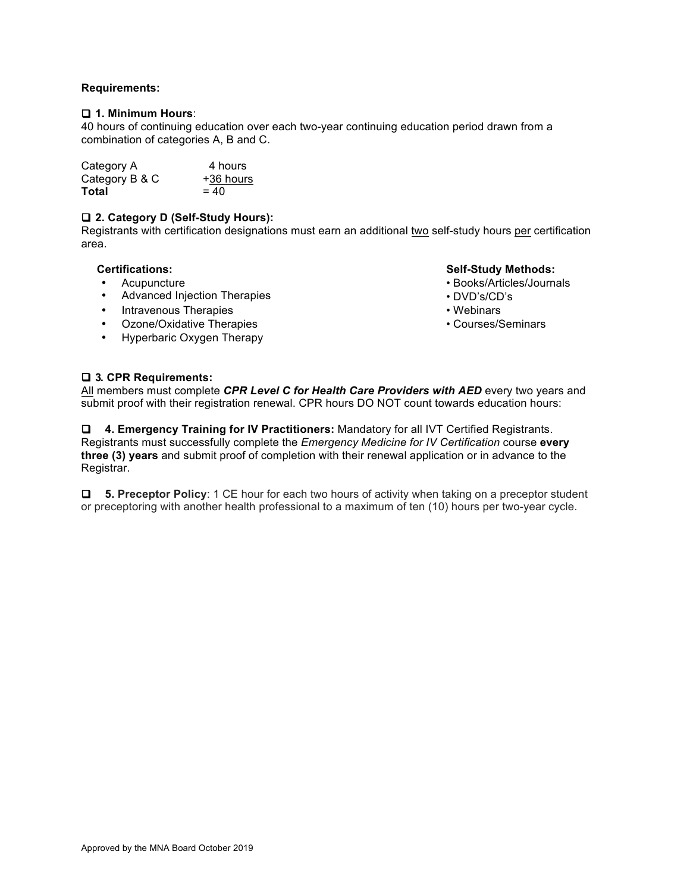## **Requirements:**

# ! **1. Minimum Hours**:

40 hours of continuing education over each two-year continuing education period drawn from a combination of categories A, B and C.

| Category A     | 4 hours   |
|----------------|-----------|
| Category B & C | +36 hours |
| Total          | $= 40$    |

# ! **2. Category D (Self-Study Hours):**

Registrants with certification designations must earn an additional two self-study hours per certification area.

- Acupuncture
- Advanced Injection Therapies
- Intravenous Therapies
- Ozone/Oxidative Therapies
- Hyperbaric Oxygen Therapy

## **Certifications: Self-Study Methods:**

- Books/Articles/Journals
- DVD's/CD's
- Webinars
- Courses/Seminars

# ! **3. CPR Requirements:**

All members must complete *CPR Level C for Health Care Providers with AED* every two years and submit proof with their registration renewal. CPR hours DO NOT count towards education hours:

! **4. Emergency Training for IV Practitioners:** Mandatory for all IVT Certified Registrants. Registrants must successfully complete the *Emergency Medicine for IV Certification* course **every three (3) years** and submit proof of completion with their renewal application or in advance to the Registrar.

! **5. Preceptor Policy**: 1 CE hour for each two hours of activity when taking on a preceptor student or preceptoring with another health professional to a maximum of ten (10) hours per two-year cycle.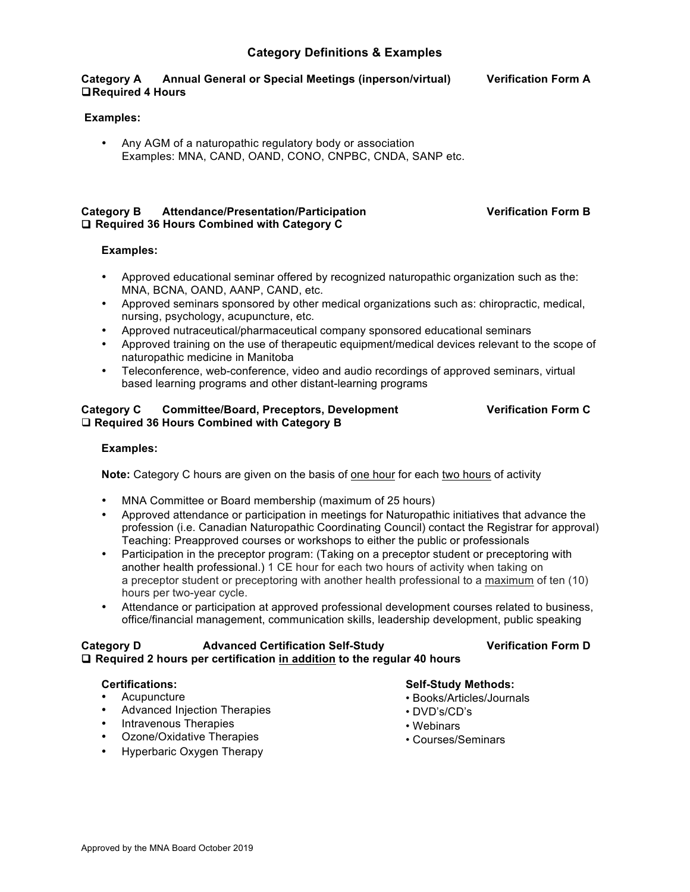# **Category Definitions & Examples**

## **Category A Annual General or Special Meetings (inperson/virtual) Verification Form A** !**Required 4 Hours**

# **Examples:**

• Any AGM of a naturopathic regulatory body or association Examples: MNA, CAND, OAND, CONO, CNPBC, CNDA, SANP etc.

#### **Category B Attendance/Presentation/Participation Verification Form B** □ Required 36 Hours Combined with Category C

## **Examples:**

- Approved educational seminar offered by recognized naturopathic organization such as the: MNA, BCNA, OAND, AANP, CAND, etc.
- Approved seminars sponsored by other medical organizations such as: chiropractic, medical, nursing, psychology, acupuncture, etc.
- Approved nutraceutical/pharmaceutical company sponsored educational seminars
- Approved training on the use of therapeutic equipment/medical devices relevant to the scope of naturopathic medicine in Manitoba
- Teleconference, web-conference, video and audio recordings of approved seminars, virtual based learning programs and other distant-learning programs

# **Category C Committee/Board, Preceptors, Development Verification Form C** □ Required 36 Hours Combined with Category **B**

# **Examples:**

**Note:** Category C hours are given on the basis of one hour for each two hours of activity

- MNA Committee or Board membership (maximum of 25 hours)
- Approved attendance or participation in meetings for Naturopathic initiatives that advance the profession (i.e. Canadian Naturopathic Coordinating Council) contact the Registrar for approval) Teaching: Preapproved courses or workshops to either the public or professionals
- Participation in the preceptor program: (Taking on a preceptor student or preceptoring with another health professional.) 1 CE hour for each two hours of activity when taking on a preceptor student or preceptoring with another health professional to a maximum of ten (10) hours per two-year cycle.
- Attendance or participation at approved professional development courses related to business, office/financial management, communication skills, leadership development, public speaking

## **Category D Advanced Certification Self-Study Verification Form D**  ! **Required 2 hours per certification in addition to the regular 40 hours**

- Acupuncture
- Advanced Injection Therapies
- Intravenous Therapies
- Ozone/Oxidative Therapies
- Hyperbaric Oxygen Therapy

## **Certifications: Self-Study Methods:**

- Books/Articles/Journals
- DVD's/CD's
- Webinars
- Courses/Seminars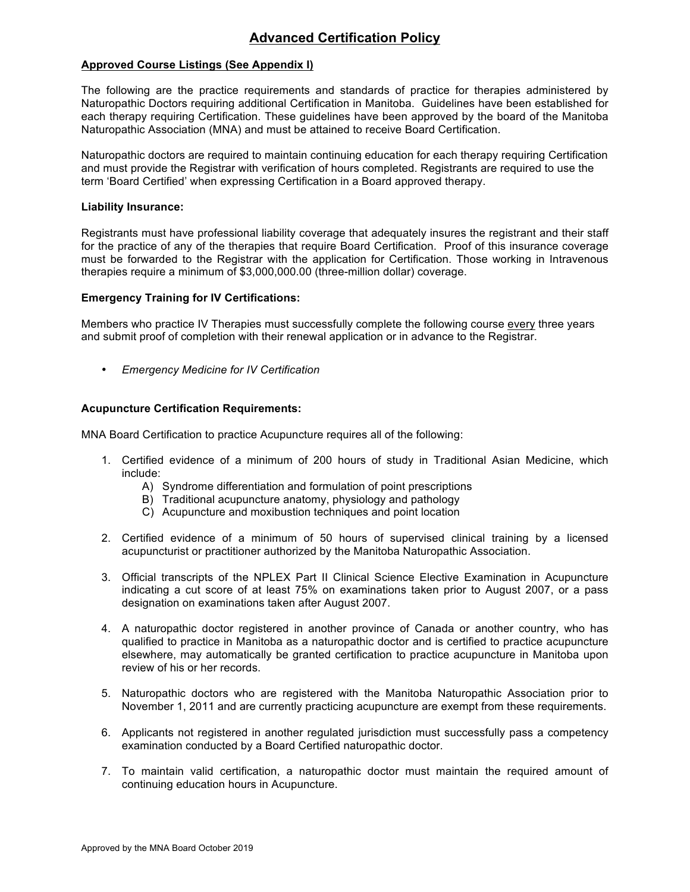# **Advanced Certification Policy**

# **Approved Course Listings (See Appendix I)**

The following are the practice requirements and standards of practice for therapies administered by Naturopathic Doctors requiring additional Certification in Manitoba. Guidelines have been established for each therapy requiring Certification. These guidelines have been approved by the board of the Manitoba Naturopathic Association (MNA) and must be attained to receive Board Certification.

Naturopathic doctors are required to maintain continuing education for each therapy requiring Certification and must provide the Registrar with verification of hours completed. Registrants are required to use the term 'Board Certified' when expressing Certification in a Board approved therapy.

#### **Liability Insurance:**

Registrants must have professional liability coverage that adequately insures the registrant and their staff for the practice of any of the therapies that require Board Certification. Proof of this insurance coverage must be forwarded to the Registrar with the application for Certification. Those working in Intravenous therapies require a minimum of \$3,000,000.00 (three-million dollar) coverage.

## **Emergency Training for IV Certifications:**

Members who practice IV Therapies must successfully complete the following course every three years and submit proof of completion with their renewal application or in advance to the Registrar.

• *Emergency Medicine for IV Certification*

## **Acupuncture Certification Requirements:**

MNA Board Certification to practice Acupuncture requires all of the following:

- 1. Certified evidence of a minimum of 200 hours of study in Traditional Asian Medicine, which include:
	- A) Syndrome differentiation and formulation of point prescriptions
	- B) Traditional acupuncture anatomy, physiology and pathology
	- C) Acupuncture and moxibustion techniques and point location
- 2. Certified evidence of a minimum of 50 hours of supervised clinical training by a licensed acupuncturist or practitioner authorized by the Manitoba Naturopathic Association.
- 3. Official transcripts of the NPLEX Part II Clinical Science Elective Examination in Acupuncture indicating a cut score of at least 75% on examinations taken prior to August 2007, or a pass designation on examinations taken after August 2007.
- 4. A naturopathic doctor registered in another province of Canada or another country, who has qualified to practice in Manitoba as a naturopathic doctor and is certified to practice acupuncture elsewhere, may automatically be granted certification to practice acupuncture in Manitoba upon review of his or her records.
- 5. Naturopathic doctors who are registered with the Manitoba Naturopathic Association prior to November 1, 2011 and are currently practicing acupuncture are exempt from these requirements.
- 6. Applicants not registered in another regulated jurisdiction must successfully pass a competency examination conducted by a Board Certified naturopathic doctor.
- 7. To maintain valid certification, a naturopathic doctor must maintain the required amount of continuing education hours in Acupuncture.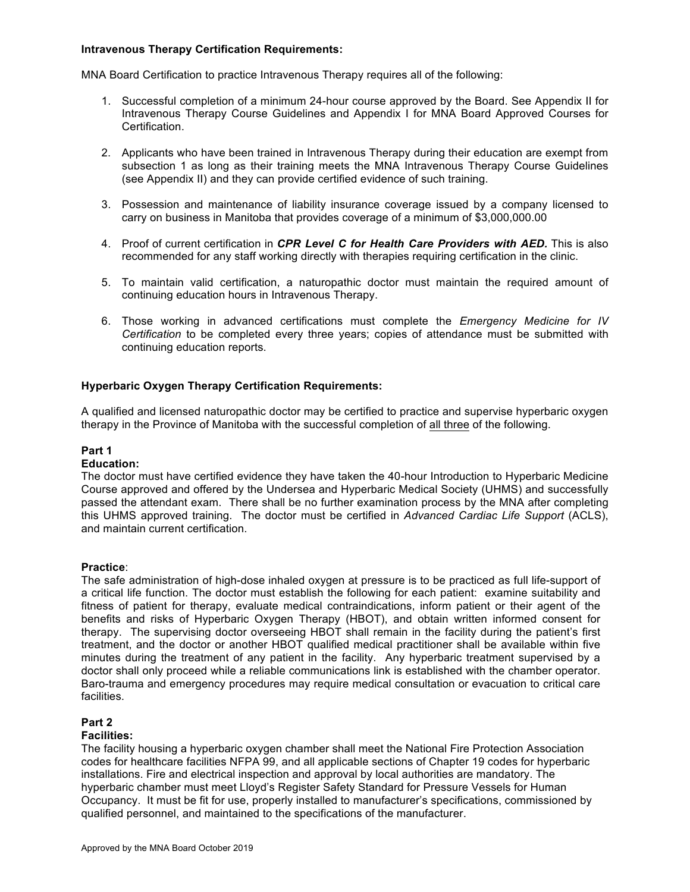# **Intravenous Therapy Certification Requirements:**

MNA Board Certification to practice Intravenous Therapy requires all of the following:

- 1. Successful completion of a minimum 24-hour course approved by the Board. See Appendix II for Intravenous Therapy Course Guidelines and Appendix I for MNA Board Approved Courses for Certification.
- 2. Applicants who have been trained in Intravenous Therapy during their education are exempt from subsection 1 as long as their training meets the MNA Intravenous Therapy Course Guidelines (see Appendix II) and they can provide certified evidence of such training.
- 3. Possession and maintenance of liability insurance coverage issued by a company licensed to carry on business in Manitoba that provides coverage of a minimum of \$3,000,000.00
- 4. Proof of current certification in *CPR Level C for Health Care Providers with AED.* This is also recommended for any staff working directly with therapies requiring certification in the clinic.
- 5. To maintain valid certification, a naturopathic doctor must maintain the required amount of continuing education hours in Intravenous Therapy.
- 6. Those working in advanced certifications must complete the *Emergency Medicine for IV Certification* to be completed every three years; copies of attendance must be submitted with continuing education reports.

# **Hyperbaric Oxygen Therapy Certification Requirements:**

A qualified and licensed naturopathic doctor may be certified to practice and supervise hyperbaric oxygen therapy in the Province of Manitoba with the successful completion of all three of the following.

# **Part 1**

#### **Education:**

The doctor must have certified evidence they have taken the 40-hour Introduction to Hyperbaric Medicine Course approved and offered by the Undersea and Hyperbaric Medical Society (UHMS) and successfully passed the attendant exam. There shall be no further examination process by the MNA after completing this UHMS approved training. The doctor must be certified in *Advanced Cardiac Life Support* (ACLS), and maintain current certification.

## **Practice**:

The safe administration of high-dose inhaled oxygen at pressure is to be practiced as full life-support of a critical life function. The doctor must establish the following for each patient: examine suitability and fitness of patient for therapy, evaluate medical contraindications, inform patient or their agent of the benefits and risks of Hyperbaric Oxygen Therapy (HBOT), and obtain written informed consent for therapy. The supervising doctor overseeing HBOT shall remain in the facility during the patient's first treatment, and the doctor or another HBOT qualified medical practitioner shall be available within five minutes during the treatment of any patient in the facility. Any hyperbaric treatment supervised by a doctor shall only proceed while a reliable communications link is established with the chamber operator. Baro-trauma and emergency procedures may require medical consultation or evacuation to critical care facilities.

# **Part 2**

# **Facilities:**

The facility housing a hyperbaric oxygen chamber shall meet the National Fire Protection Association codes for healthcare facilities NFPA 99, and all applicable sections of Chapter 19 codes for hyperbaric installations. Fire and electrical inspection and approval by local authorities are mandatory. The hyperbaric chamber must meet Lloyd's Register Safety Standard for Pressure Vessels for Human Occupancy. It must be fit for use, properly installed to manufacturer's specifications, commissioned by qualified personnel, and maintained to the specifications of the manufacturer.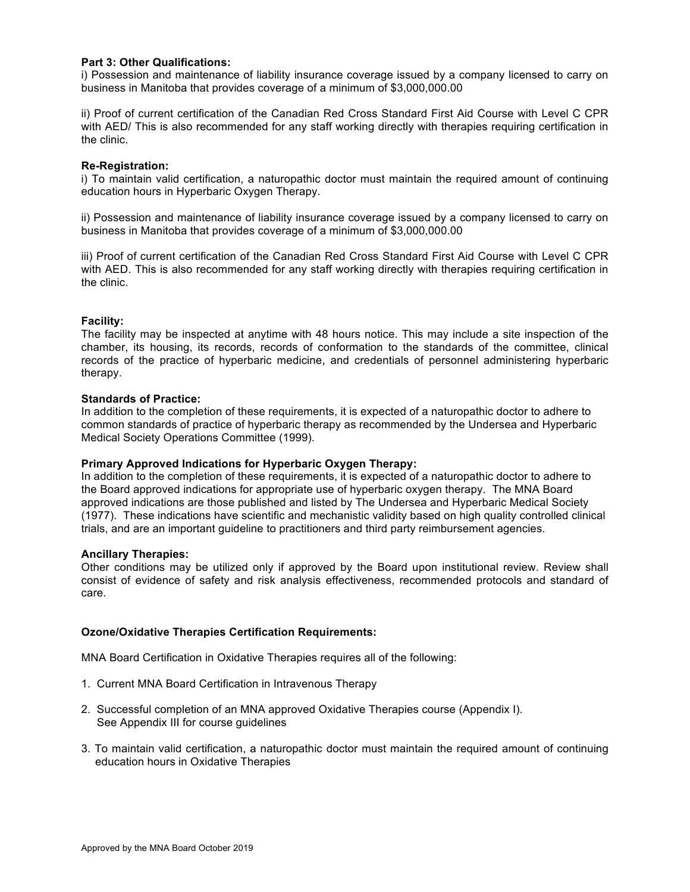# **Part 3: Other Qualifications:**

i) Possession and maintenance of liability insurance coverage issued by a company licensed to carry on business in Manitoba that provides coverage of a minimum of \$3,000,000.00

ii) Proof of current certification of the Canadian Red Cross Standard First Aid Course with Level C CPR with AED/ This is also recommended for any staff working directly with therapies requiring certification in the clinic.

#### **Re-Registration:**

i) To maintain valid certification, a naturopathic doctor must maintain the required amount of continuing education hours in Hyperbaric Oxygen Therapy.

ii) Possession and maintenance of liability insurance coverage issued by a company licensed to carry on business in Manitoba that provides coverage of a minimum of \$3,000,000.00

iii) Proof of current certification of the Canadian Red Cross Standard First Aid Course with Level C CPR with AED. This is also recommended for any staff working directly with therapies requiring certification in the clinic.

#### **Facility:**

The facility may be inspected at anytime with 48 hours notice. This may include a site inspection of the chamber, its housing, its records, records of conformation to the standards of the committee, clinical records of the practice of hyperbaric medicine, and credentials of personnel administering hyperbaric therapy.

## **Standards of Practice:**

In addition to the completion of these requirements, it is expected of a naturopathic doctor to adhere to common standards of practice of hyperbaric therapy as recommended by the Undersea and Hyperbaric Medical Society Operations Committee (1999).

## **Primary Approved Indications for Hyperbaric Oxygen Therapy:**

In addition to the completion of these requirements, it is expected of a naturopathic doctor to adhere to the Board approved indications for appropriate use of hyperbaric oxygen therapy. The MNA Board approved indications are those published and listed by The Undersea and Hyperbaric Medical Society (1977). These indications have scientific and mechanistic validity based on high quality controlled clinical trials, and are an important guideline to practitioners and third party reimbursement agencies.

#### **Ancillary Therapies:**

Other conditions may be utilized only if approved by the Board upon institutional review. Review shall consist of evidence of safety and risk analysis effectiveness, recommended protocols and standard of care.

## **Ozone/Oxidative Therapies Certification Requirements:**

MNA Board Certification in Oxidative Therapies requires all of the following:

- 1. Current MNA Board Certification in Intravenous Therapy
- 2. Successful completion of an MNA approved Oxidative Therapies course (Appendix I). See Appendix III for course guidelines
- 3. To maintain valid certification, a naturopathic doctor must maintain the required amount of continuing education hours in Oxidative Therapies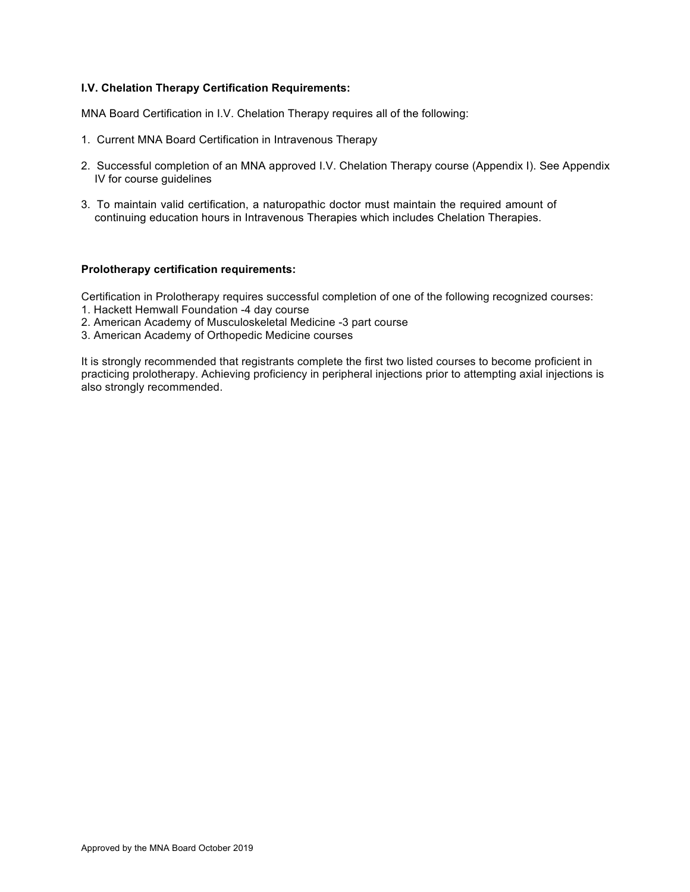# **I.V. Chelation Therapy Certification Requirements:**

MNA Board Certification in I.V. Chelation Therapy requires all of the following:

- 1. Current MNA Board Certification in Intravenous Therapy
- 2. Successful completion of an MNA approved I.V. Chelation Therapy course (Appendix I). See Appendix IV for course guidelines
- 3. To maintain valid certification, a naturopathic doctor must maintain the required amount of continuing education hours in Intravenous Therapies which includes Chelation Therapies.

## **Prolotherapy certification requirements:**

Certification in Prolotherapy requires successful completion of one of the following recognized courses: 1. Hackett Hemwall Foundation -4 day course

- 
- 2. American Academy of Musculoskeletal Medicine -3 part course
- 3. American Academy of Orthopedic Medicine courses

It is strongly recommended that registrants complete the first two listed courses to become proficient in practicing prolotherapy. Achieving proficiency in peripheral injections prior to attempting axial injections is also strongly recommended.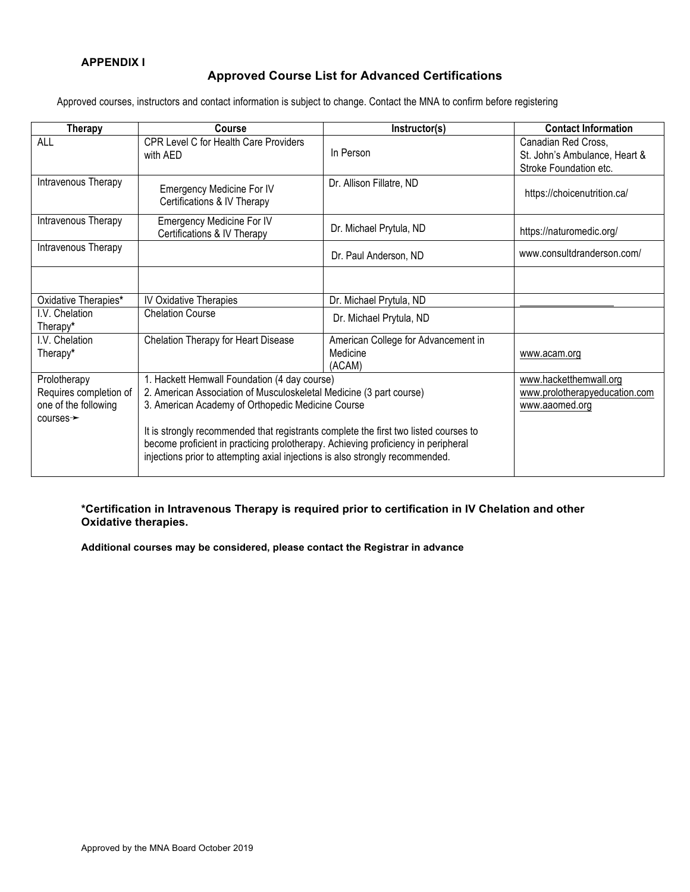# **Approved Course List for Advanced Certifications**

Approved courses, instructors and contact information is subject to change. Contact the MNA to confirm before registering

| <b>Therapy</b>             | Course                                                                                                                                                                                                                                                     | Instructor(s)                                             | <b>Contact Information</b>                                                     |
|----------------------------|------------------------------------------------------------------------------------------------------------------------------------------------------------------------------------------------------------------------------------------------------------|-----------------------------------------------------------|--------------------------------------------------------------------------------|
| <b>ALL</b>                 | CPR Level C for Health Care Providers<br>with AED                                                                                                                                                                                                          | In Person                                                 | Canadian Red Cross,<br>St. John's Ambulance, Heart &<br>Stroke Foundation etc. |
| Intravenous Therapy        | <b>Emergency Medicine For IV</b><br>Certifications & IV Therapy                                                                                                                                                                                            | Dr. Allison Fillatre, ND                                  | https://choicenutrition.ca/                                                    |
| Intravenous Therapy        | <b>Emergency Medicine For IV</b><br>Certifications & IV Therapy                                                                                                                                                                                            | Dr. Michael Prytula, ND                                   | https://naturomedic.org/                                                       |
| Intravenous Therapy        |                                                                                                                                                                                                                                                            | Dr. Paul Anderson, ND                                     | www.consultdranderson.com/                                                     |
|                            |                                                                                                                                                                                                                                                            |                                                           |                                                                                |
| Oxidative Therapies*       | <b>IV Oxidative Therapies</b>                                                                                                                                                                                                                              | Dr. Michael Prytula, ND                                   |                                                                                |
| I.V. Chelation<br>Therapy* | <b>Chelation Course</b>                                                                                                                                                                                                                                    | Dr. Michael Prytula, ND                                   |                                                                                |
| I.V. Chelation<br>Therapy* | Chelation Therapy for Heart Disease                                                                                                                                                                                                                        | American College for Advancement in<br>Medicine<br>(ACAM) | www.acam.org                                                                   |
| Prolotherapy               | 1. Hackett Hemwall Foundation (4 day course)                                                                                                                                                                                                               |                                                           | www.hacketthemwall.org                                                         |
| Requires completion of     | 2. American Association of Musculoskeletal Medicine (3 part course)                                                                                                                                                                                        |                                                           | www.prolotherapyeducation.com                                                  |
| one of the following       | 3. American Academy of Orthopedic Medicine Course                                                                                                                                                                                                          |                                                           | www.aaomed.org                                                                 |
| $course \rightarrow$       | It is strongly recommended that registrants complete the first two listed courses to<br>become proficient in practicing prolotherapy. Achieving proficiency in peripheral<br>injections prior to attempting axial injections is also strongly recommended. |                                                           |                                                                                |

**\*Certification in Intravenous Therapy is required prior to certification in IV Chelation and other Oxidative therapies.**

**Additional courses may be considered, please contact the Registrar in advance**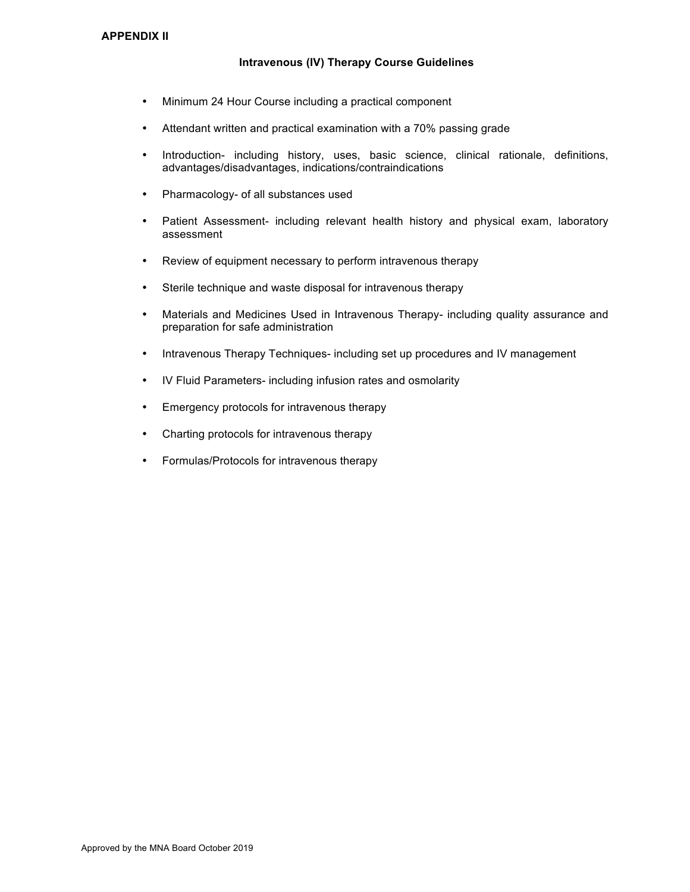# **Intravenous (IV) Therapy Course Guidelines**

- Minimum 24 Hour Course including a practical component
- Attendant written and practical examination with a 70% passing grade
- Introduction- including history, uses, basic science, clinical rationale, definitions, advantages/disadvantages, indications/contraindications
- Pharmacology- of all substances used
- Patient Assessment- including relevant health history and physical exam, laboratory assessment
- Review of equipment necessary to perform intravenous therapy
- Sterile technique and waste disposal for intravenous therapy
- Materials and Medicines Used in Intravenous Therapy- including quality assurance and preparation for safe administration
- Intravenous Therapy Techniques- including set up procedures and IV management
- IV Fluid Parameters- including infusion rates and osmolarity
- Emergency protocols for intravenous therapy
- Charting protocols for intravenous therapy
- Formulas/Protocols for intravenous therapy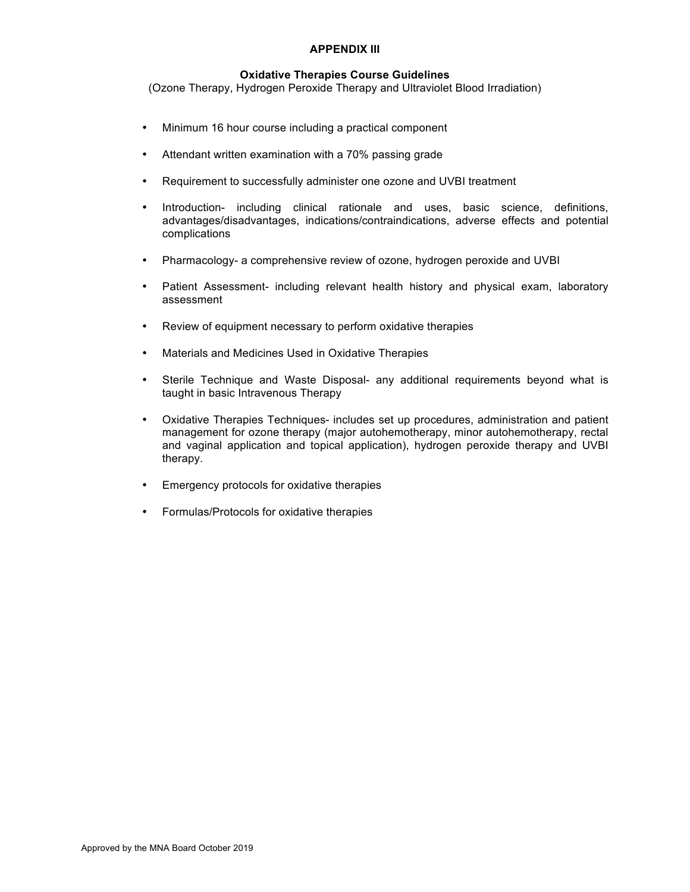# **APPENDIX III**

# **Oxidative Therapies Course Guidelines**

(Ozone Therapy, Hydrogen Peroxide Therapy and Ultraviolet Blood Irradiation)

- Minimum 16 hour course including a practical component
- Attendant written examination with a 70% passing grade
- Requirement to successfully administer one ozone and UVBI treatment
- Introduction- including clinical rationale and uses, basic science, definitions, advantages/disadvantages, indications/contraindications, adverse effects and potential complications
- Pharmacology- a comprehensive review of ozone, hydrogen peroxide and UVBI
- Patient Assessment- including relevant health history and physical exam, laboratory assessment
- Review of equipment necessary to perform oxidative therapies
- Materials and Medicines Used in Oxidative Therapies
- Sterile Technique and Waste Disposal- any additional requirements beyond what is taught in basic Intravenous Therapy
- Oxidative Therapies Techniques- includes set up procedures, administration and patient management for ozone therapy (major autohemotherapy, minor autohemotherapy, rectal and vaginal application and topical application), hydrogen peroxide therapy and UVBI therapy.
- Emergency protocols for oxidative therapies
- Formulas/Protocols for oxidative therapies